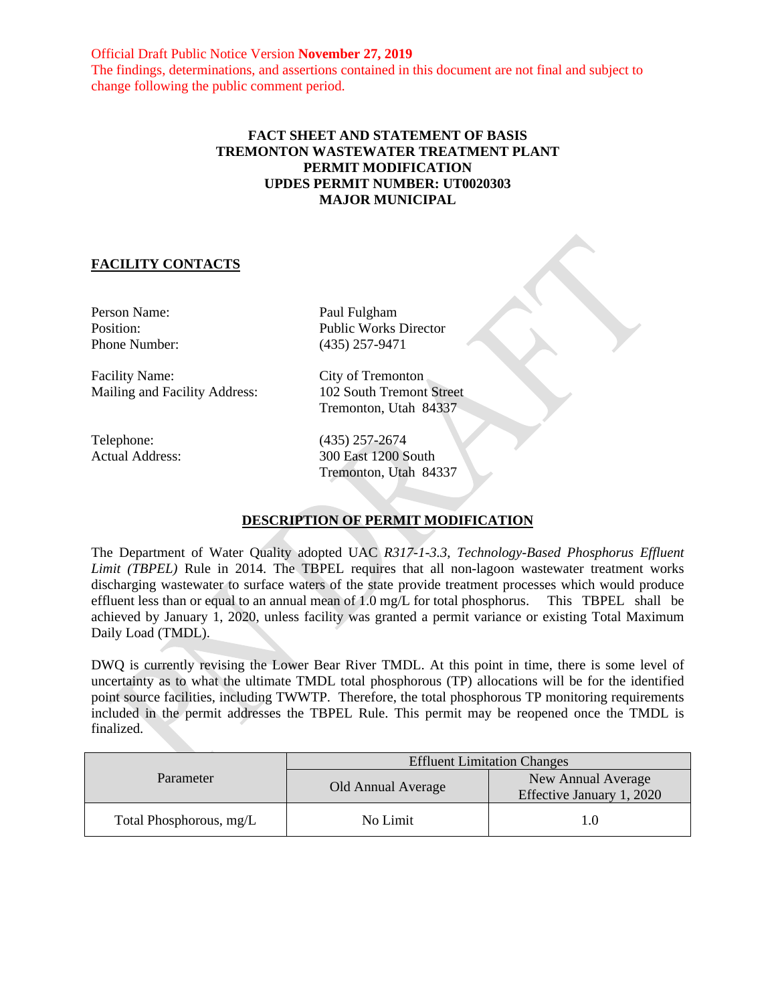Official Draft Public Notice Version **November 27, 2019** The findings, determinations, and assertions contained in this document are not final and subject to change following the public comment period.

## **FACT SHEET AND STATEMENT OF BASIS TREMONTON WASTEWATER TREATMENT PLANT PERMIT MODIFICATION UPDES PERMIT NUMBER: UT0020303 MAJOR MUNICIPAL**

## **FACILITY CONTACTS**

Person Name: Paul Fulgham

Facility Name: City of Tremonton<br>
Mailing and Facility Address: 102 South Tremont Street Mailing and Facility Address:

Position: Public Works Director Phone Number: (435) 257-9471

Tremonton, Utah 84337

Telephone: (435) 257-2674 Actual Address: 300 East 1200 South Tremonton, Utah 84337

# **DESCRIPTION OF PERMIT MODIFICATION**

The Department of Water Quality adopted UAC *R317-1-3.3*, *Technology-Based Phosphorus Effluent Limit (TBPEL)* Rule in 2014. The TBPEL requires that all non-lagoon wastewater treatment works discharging wastewater to surface waters of the state provide treatment processes which would produce effluent less than or equal to an annual mean of 1.0 mg/L for total phosphorus. This TBPEL shall be achieved by January 1, 2020, unless facility was granted a permit variance or existing Total Maximum Daily Load (TMDL).

DWQ is currently revising the Lower Bear River TMDL. At this point in time, there is some level of uncertainty as to what the ultimate TMDL total phosphorous (TP) allocations will be for the identified point source facilities, including TWWTP. Therefore, the total phosphorous TP monitoring requirements included in the permit addresses the TBPEL Rule. This permit may be reopened once the TMDL is finalized.

| Parameter               | <b>Effluent Limitation Changes</b> |                                                 |
|-------------------------|------------------------------------|-------------------------------------------------|
|                         | Old Annual Average                 | New Annual Average<br>Effective January 1, 2020 |
| Total Phosphorous, mg/L | No Limit                           | 1.0                                             |